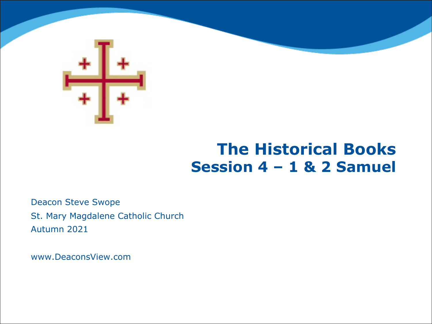

# **The Historical Books Session 4 – 1 & 2 Samuel**

Deacon Steve Swope St. Mary Magdalene Catholic Church Autumn 2021

www.DeaconsView.com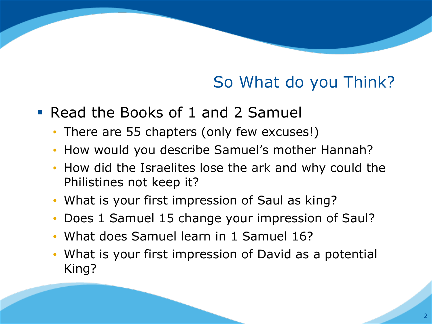# So What do you Think?

- § Read the Books of 1 and 2 Samuel
	- There are 55 chapters (only few excuses!)
	- How would you describe Samuel's mother Hannah?
	- How did the Israelites lose the ark and why could the Philistines not keep it?
	- What is your first impression of Saul as king?
	- Does 1 Samuel 15 change your impression of Saul?
	- What does Samuel learn in 1 Samuel 16?
	- What is your first impression of David as a potential King?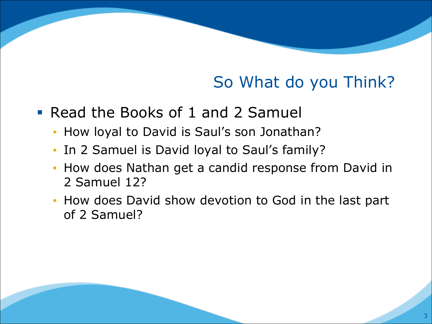# So What do you Think?

- § Read the Books of 1 and 2 Samuel
	- How loyal to David is Saul's son Jonathan?
	- In 2 Samuel is David loyal to Saul's family?
	- How does Nathan get a candid response from David in 2 Samuel 12?
	- How does David show devotion to God in the last part of 2 Samuel?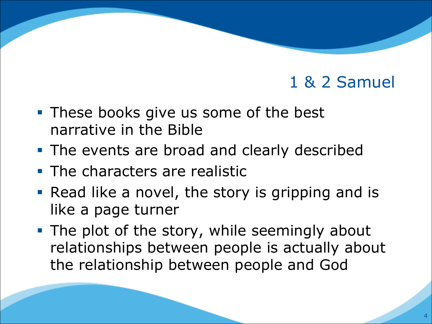- These books give us some of the best narrative in the Bible
- The events are broad and clearly described
- The characters are realistic
- Read like a novel, the story is gripping and is like a page turner
- The plot of the story, while seemingly about relationships between people is actually about the relationship between people and God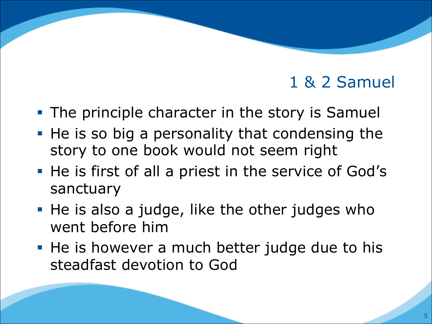- The principle character in the story is Samuel
- He is so big a personality that condensing the story to one book would not seem right
- He is first of all a priest in the service of God's sanctuary
- He is also a judge, like the other judges who went before him
- He is however a much better judge due to his steadfast devotion to God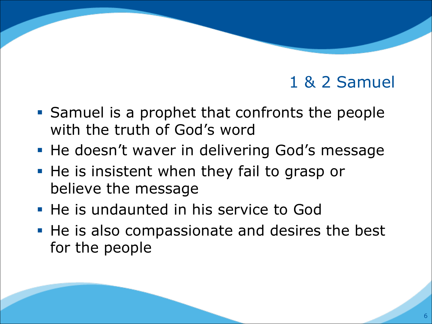- Samuel is a prophet that confronts the people with the truth of God's word
- He doesn't waver in delivering God's message
- He is insistent when they fail to grasp or believe the message
- He is undaunted in his service to God
- He is also compassionate and desires the best for the people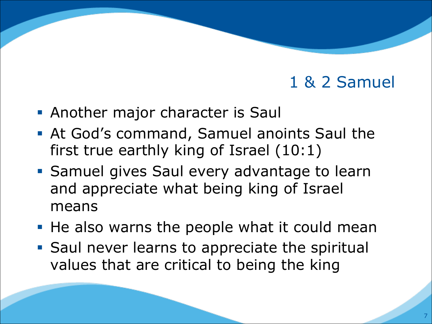- **Another major character is Saul**
- § At God's command, Samuel anoints Saul the first true earthly king of Israel (10:1)
- Samuel gives Saul every advantage to learn and appreciate what being king of Israel means
- He also warns the people what it could mean
- Saul never learns to appreciate the spiritual values that are critical to being the king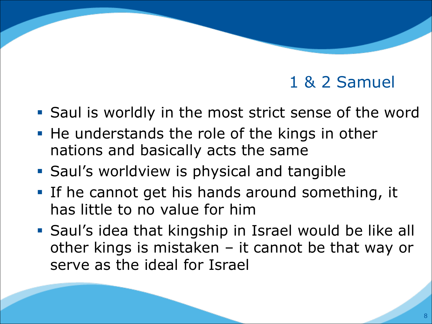- Saul is worldly in the most strict sense of the word
- He understands the role of the kings in other nations and basically acts the same
- **Saul's worldview is physical and tangible**
- § If he cannot get his hands around something, it has little to no value for him
- § Saul's idea that kingship in Israel would be like all other kings is mistaken – it cannot be that way or serve as the ideal for Israel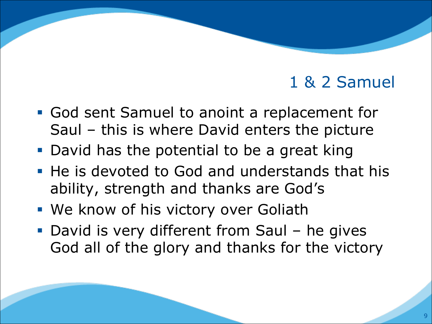- God sent Samuel to anoint a replacement for Saul – this is where David enters the picture
- David has the potential to be a great king
- He is devoted to God and understands that his ability, strength and thanks are God's
- We know of his victory over Goliath
- David is very different from Saul he gives God all of the glory and thanks for the victory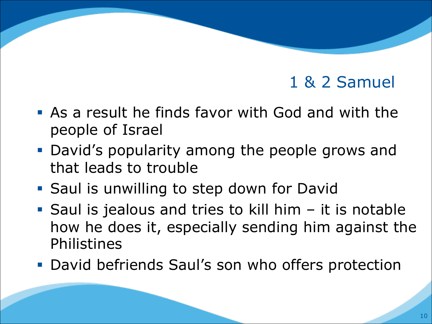- § As a result he finds favor with God and with the people of Israel
- David's popularity among the people grows and that leads to trouble
- Saul is unwilling to step down for David
- Saul is jealous and tries to kill him  $-$  it is notable how he does it, especially sending him against the Philistines
- David befriends Saul's son who offers protection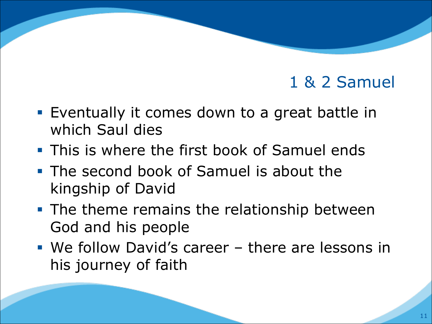- Eventually it comes down to a great battle in which Saul dies
- **This is where the first book of Samuel ends**
- The second book of Samuel is about the kingship of David
- The theme remains the relationship between God and his people
- § We follow David's career there are lessons in his journey of faith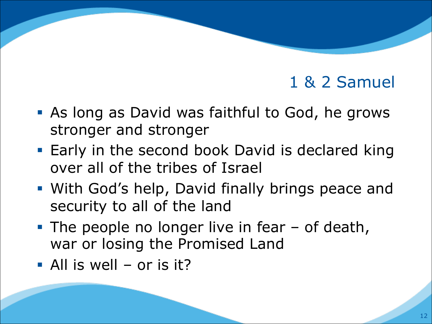- **As long as David was faithful to God, he grows** stronger and stronger
- Early in the second book David is declared king over all of the tribes of Israel
- With God's help, David finally brings peace and security to all of the land
- The people no longer live in fear of death, war or losing the Promised Land
- § All is well or is it?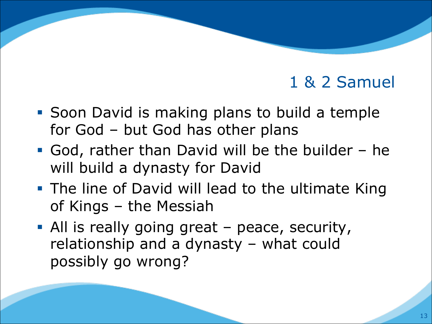- Soon David is making plans to build a temple for God – but God has other plans
- § God, rather than David will be the builder he will build a dynasty for David
- **The line of David will lead to the ultimate King** of Kings – the Messiah
- All is really going great peace, security, relationship and a dynasty – what could possibly go wrong?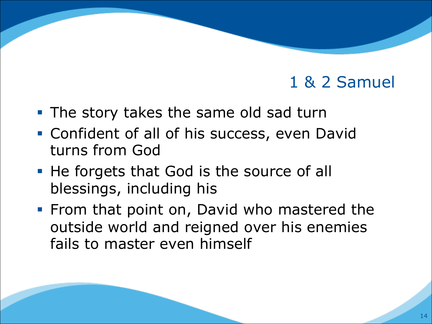- The story takes the same old sad turn
- Confident of all of his success, even David turns from God
- He forgets that God is the source of all blessings, including his
- From that point on, David who mastered the outside world and reigned over his enemies fails to master even himself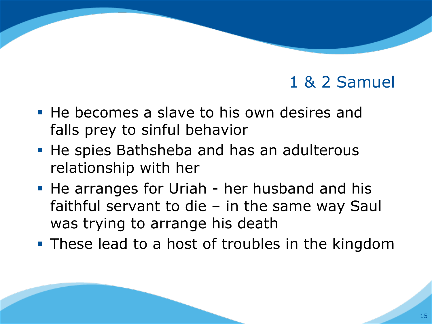- He becomes a slave to his own desires and falls prey to sinful behavior
- He spies Bathsheba and has an adulterous relationship with her
- He arranges for Uriah her husband and his faithful servant to die – in the same way Saul was trying to arrange his death
- **These lead to a host of troubles in the kingdom**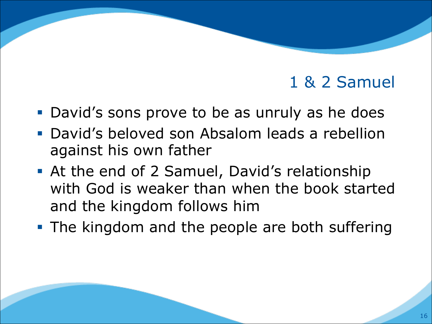- David's sons prove to be as unruly as he does
- § David's beloved son Absalom leads a rebellion against his own father
- At the end of 2 Samuel, David's relationship with God is weaker than when the book started and the kingdom follows him
- The kingdom and the people are both suffering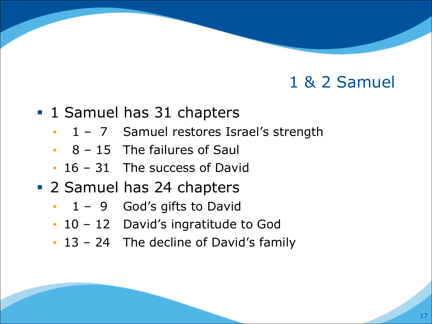- 1 Samuel has 31 chapters
	- 1 7 Samuel restores Israel's strength
	- $\cdot$  8 15 The failures of Saul
	- 16 31 The success of David
- 2 Samuel has 24 chapters
	- $\cdot$  1 9 God's gifts to David
	- 10 12 David's ingratitude to God
	- 13 24 The decline of David's family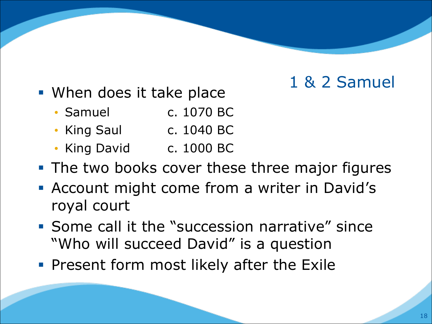- When does it take place
	- Samuel c. 1070 BC
	- King Saul c. 1040 BC
	- King David c. 1000 BC
- The two books cover these three major figures
- Account might come from a writer in David's royal court
- § Some call it the "succession narrative" since "Who will succeed David" is a question
- **Present form most likely after the Exile**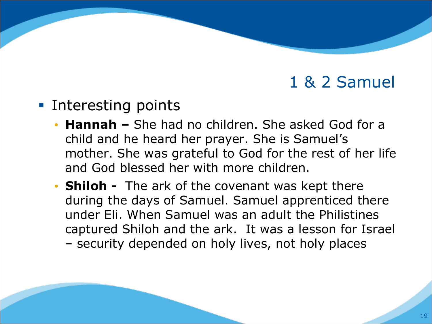- Interesting points
	- **Hannah –** She had no children. She asked God for a child and he heard her prayer. She is Samuel's mother. She was grateful to God for the rest of her life and God blessed her with more children.
	- **Shiloh -** The ark of the covenant was kept there during the days of Samuel. Samuel apprenticed there under Eli. When Samuel was an adult the Philistines captured Shiloh and the ark. It was a lesson for Israel – security depended on holy lives, not holy places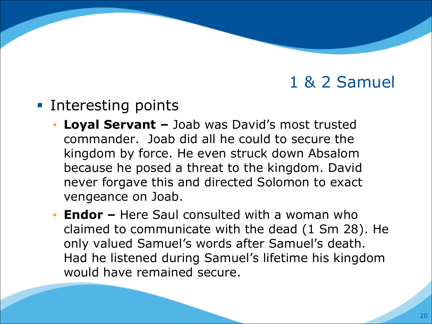- Interesting points
	- **Loyal Servant –** Joab was David's most trusted commander. Joab did all he could to secure the kingdom by force. He even struck down Absalom because he posed a threat to the kingdom. David never forgave this and directed Solomon to exact vengeance on Joab.
	- **Endor –** Here Saul consulted with a woman who claimed to communicate with the dead (1 Sm 28). He only valued Samuel's words after Samuel's death. Had he listened during Samuel's lifetime his kingdom would have remained secure.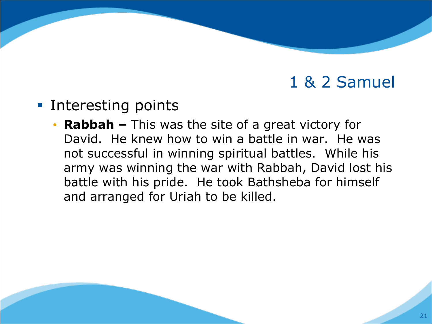- Interesting points
	- **Rabbah –** This was the site of a great victory for David. He knew how to win a battle in war. He was not successful in winning spiritual battles. While his army was winning the war with Rabbah, David lost his battle with his pride. He took Bathsheba for himself and arranged for Uriah to be killed.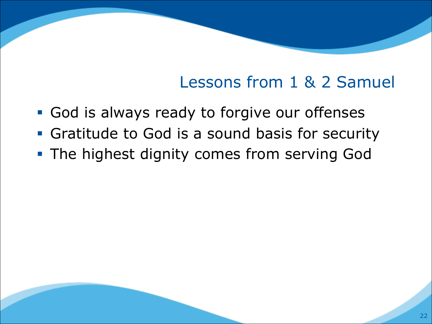# Lessons from 1 & 2 Samuel

- God is always ready to forgive our offenses
- Gratitude to God is a sound basis for security
- **The highest dignity comes from serving God**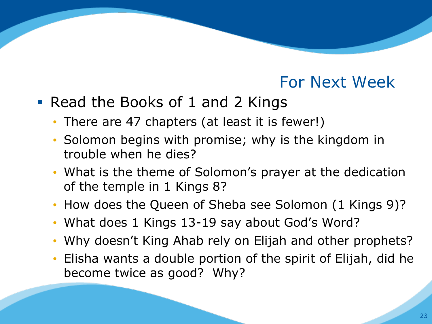#### For Next Week

- Read the Books of 1 and 2 Kings
	- There are 47 chapters (at least it is fewer!)
	- Solomon begins with promise; why is the kingdom in trouble when he dies?
	- What is the theme of Solomon's prayer at the dedication of the temple in 1 Kings 8?
	- How does the Queen of Sheba see Solomon (1 Kings 9)?
	- What does 1 Kings 13-19 say about God's Word?
	- Why doesn't King Ahab rely on Elijah and other prophets?
	- Elisha wants a double portion of the spirit of Elijah, did he become twice as good? Why?